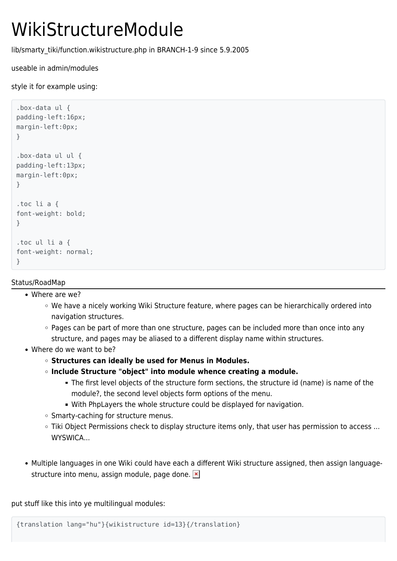# WikiStructureModule

lib/smarty\_tiki/function.wikistructure.php in BRANCH-1-9 since 5.9.2005

useable in admin/modules

style it for example using:

```
.box-data ul {
padding-left:16px;
margin-left:0px;
}
.box-data ul ul {
padding-left:13px;
margin-left:0px;
}
.toc li a {
font-weight: bold;
}
.toc ul li a {
font-weight: normal;
}
```
# Status/RoadMap

- Where are we?
	- We have a nicely working Wiki Structure feature, where pages can be hierarchically ordered into navigation structures.
	- Pages can be part of more than one structure, pages can be included more than once into any structure, and pages may be aliased to a different display name within structures.
- Where do we want to be?
	- **Structures can ideally be used for Menus in Modules.**
	- **Include Structure "object" into module whence creating a module.**
		- The first level objects of the structure form sections, the structure id (name) is name of the module?, the second level objects form options of the menu.
		- With PhpLayers the whole structure could be displayed for navigation.
	- o Smarty-caching for structure menus.
	- Tiki Object Permissions check to display structure items only, that user has permission to access ... WYSWICA...
- Multiple languages in one Wiki could have each a different Wiki structure assigned, then assign languagestructure into menu, assign module, page done. **x**

put stuff like this into ye multilingual modules:

```
{translation lang="hu"}{wikistructure id=13}{/translation}
```